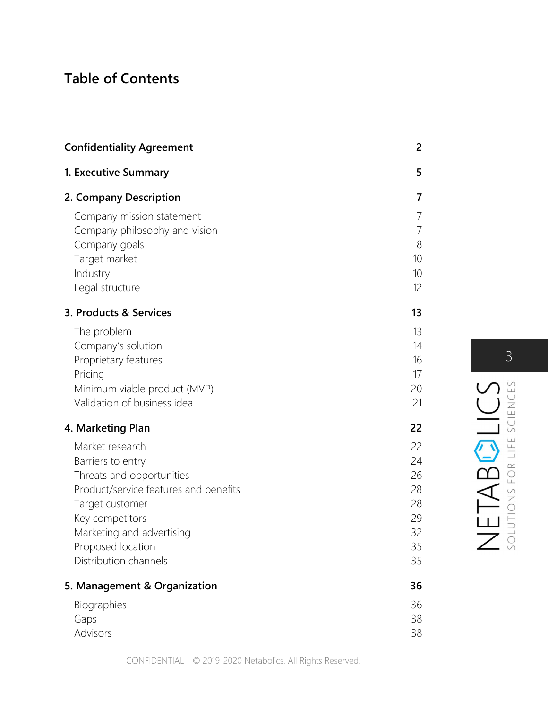## Table of Contents

| <b>Confidentiality Agreement</b>                                                                                                                                                                                            | 2                                                       |
|-----------------------------------------------------------------------------------------------------------------------------------------------------------------------------------------------------------------------------|---------------------------------------------------------|
| 1. Executive Summary                                                                                                                                                                                                        | 5                                                       |
| 2. Company Description                                                                                                                                                                                                      | 7                                                       |
| Company mission statement<br>Company philosophy and vision<br>Company goals<br>Target market<br>Industry<br>Legal structure                                                                                                 | $\overline{7}$<br>$\overline{7}$<br>8<br>10<br>10<br>12 |
| 3. Products & Services                                                                                                                                                                                                      | 13                                                      |
| The problem<br>Company's solution<br>Proprietary features<br>Pricing<br>Minimum viable product (MVP)<br>Validation of business idea                                                                                         | 13<br>14<br>16<br>17<br>20<br>21                        |
| 4. Marketing Plan                                                                                                                                                                                                           | 22                                                      |
| Market research<br>Barriers to entry<br>Threats and opportunities<br>Product/service features and benefits<br>Target customer<br>Key competitors<br>Marketing and advertising<br>Proposed location<br>Distribution channels | 22<br>24<br>26<br>28<br>28<br>29<br>32<br>35<br>35      |
| 5. Management & Organization                                                                                                                                                                                                | 36                                                      |
| Biographies<br>Gaps<br>Advisors                                                                                                                                                                                             | 36<br>38<br>38                                          |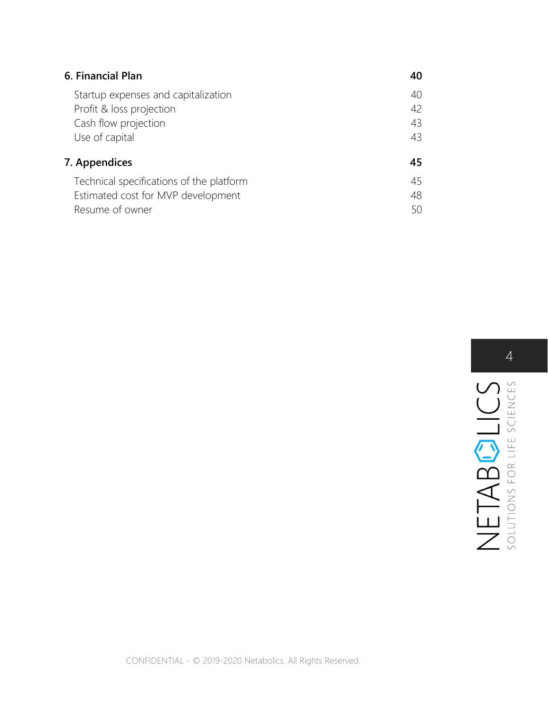| 6. Financial Plan                        | 40 |
|------------------------------------------|----|
| Startup expenses and capitalization      | 40 |
| Profit & loss projection                 | 42 |
| Cash flow projection                     | 43 |
| Use of capital                           | 43 |
| 7. Appendices                            | 45 |
| Technical specifications of the platform | 45 |
| Estimated cost for MVP development       | 48 |
| Resume of owner                          | 50 |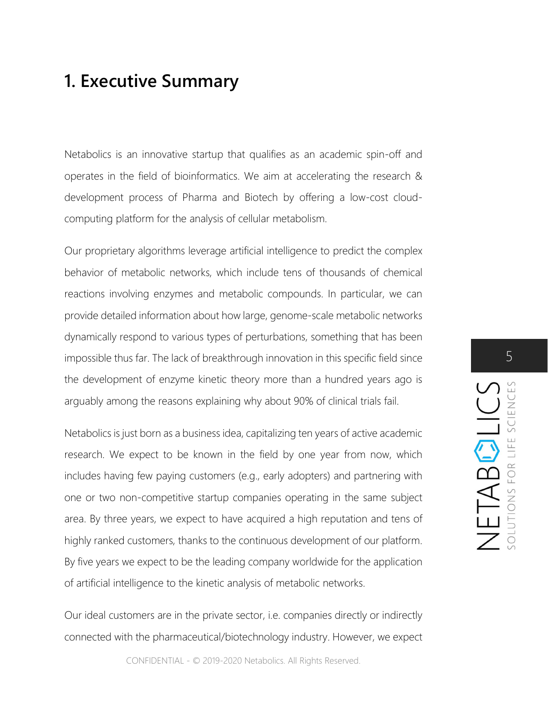## 1. Executive Summary

Netabolics is an innovative startup that qualifies as an academic spin-off and operates in the field of bioinformatics. We aim at accelerating the research & development process of Pharma and Biotech by offering a low-cost cloudcomputing platform for the analysis of cellular metabolism.

Our proprietary algorithms leverage artificial intelligence to predict the complex behavior of metabolic networks, which include tens of thousands of chemical reactions involving enzymes and metabolic compounds. In particular, we can provide detailed information about how large, genome-scale metabolic networks dynamically respond to various types of perturbations, something that has been impossible thus far. The lack of breakthrough innovation in this specific field since the development of enzyme kinetic theory more than a hundred years ago is arguably among the reasons explaining why about 90% of clinical trials fail.

Netabolics is just born as a business idea, capitalizing ten years of active academic research. We expect to be known in the field by one year from now, which includes having few paying customers (e.g., early adopters) and partnering with one or two non-competitive startup companies operating in the same subject area. By three years, we expect to have acquired a high reputation and tens of highly ranked customers, thanks to the continuous development of our platform. By five years we expect to be the leading company worldwide for the application of artificial intelligence to the kinetic analysis of metabolic networks.

Our ideal customers are in the private sector, i.e. companies directly or indirectly connected with the pharmaceutical/biotechnology industry. However, we expect

CONFIDENTIAL - © 2019-2020 Netabolics. All Rights Reserved.